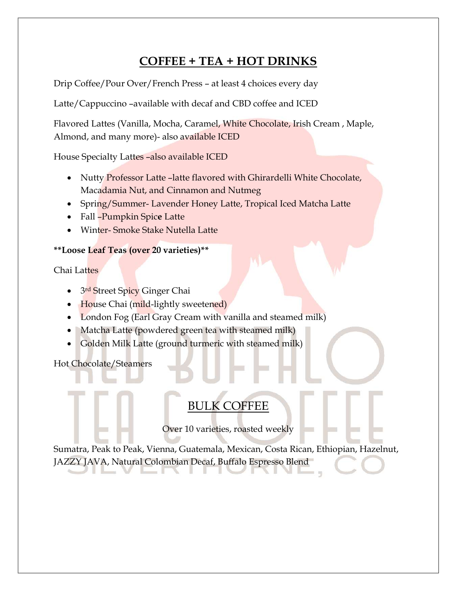# COFFEE + TEA + HOT DRINKS

Drip Coffee/Pour Over/French Press – at least 4 choices every day

Latte/Cappuccino –available with decaf and CBD coffee and ICED

Flavored Lattes (Vanilla, Mocha, Caramel, White Chocolate, Irish Cream , Maple, Almond, and many more)- also available ICED

House Specialty Lattes –also available ICED

- Nutty Professor Latte –latte flavored with Ghirardelli White Chocolate, Macadamia Nut, and Cinnamon and Nutmeg
- Spring/Summer- Lavender Honey Latte, Tropical Iced Matcha Latte
- Fall -Pumpkin Spice Latte
- Winter- Smoke Stake Nutella Latte

### \*\*Loose Leaf Teas (over 20 varieties)\*\*

Chai Lattes

- 3<sup>rd</sup> Street Spicy Ginger Chai
- House Chai (mild-lightly sweetened)
- London Fog (Earl Gray Cream with vanilla and steamed milk)
- Matcha Latte (powdered green tea with steamed milk)
- Golden Milk Latte (ground turmeric with steamed milk)

Hot Chocolate/Steamers

# BULK COFFEE

Over 10 varieties, roasted weekly

Sumatra, Peak to Peak, Vienna, Guatemala, Mexican, Costa Rican, Ethiopian, Hazelnut, JAZZY JAVA, Natural Colombian Decaf, Buffalo Espresso Blend